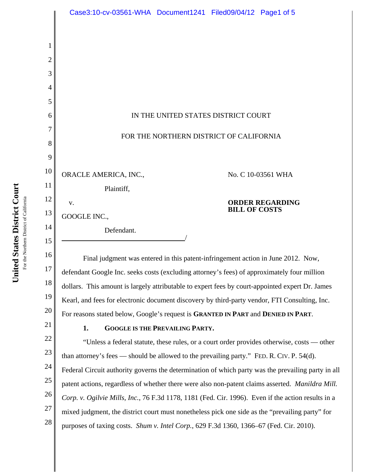|          | Case3:10-cv-03561-WHA Document1241 Filed09/04/12 Page1 of 5                                        |
|----------|----------------------------------------------------------------------------------------------------|
|          |                                                                                                    |
| 2        |                                                                                                    |
| 3        |                                                                                                    |
| 4        |                                                                                                    |
| 5        |                                                                                                    |
| 6        | IN THE UNITED STATES DISTRICT COURT                                                                |
| 7        |                                                                                                    |
| 8        | FOR THE NORTHERN DISTRICT OF CALIFORNIA                                                            |
| 9        |                                                                                                    |
| 10       | ORACLE AMERICA, INC.,<br>No. C 10-03561 WHA                                                        |
| 11       | Plaintiff,                                                                                         |
| 12       | <b>ORDER REGARDING</b><br>V.                                                                       |
| 13       | <b>BILL OF COSTS</b><br>GOOGLE INC.,                                                               |
| 14       | Defendant.                                                                                         |
| 15       |                                                                                                    |
| 16       | Final judgment was entered in this patent-infringement action in June 2012. Now,                   |
| 17       | defendant Google Inc. seeks costs (excluding attorney's fees) of approximately four million        |
| 18       | dollars. This amount is largely attributable to expert fees by court-appointed expert Dr. James    |
| 19       | Kearl, and fees for electronic document discovery by third-party vendor, FTI Consulting, Inc.      |
| 20       | For reasons stated below, Google's request is GRANTED IN PART and DENIED IN PART.                  |
| 21       | 1.<br><b>GOOGLE IS THE PREVAILING PARTY.</b>                                                       |
| 22       | "Unless a federal statute, these rules, or a court order provides otherwise, costs — other         |
| 23       | than attorney's fees — should be allowed to the prevailing party." FED. R. CIV. P. 54(d).          |
| 24       | Federal Circuit authority governs the determination of which party was the prevailing party in all |
| 25       | patent actions, regardless of whether there were also non-patent claims asserted. Manildra Mill.   |
| 26       | Corp. v. Ogilvie Mills, Inc., 76 F.3d 1178, 1181 (Fed. Cir. 1996). Even if the action results in a |
| 27<br>28 | mixed judgment, the district court must nonetheless pick one side as the "prevailing party" for    |
|          | purposes of taxing costs. Shum v. Intel Corp., 629 F.3d 1360, 1366–67 (Fed. Cir. 2010).            |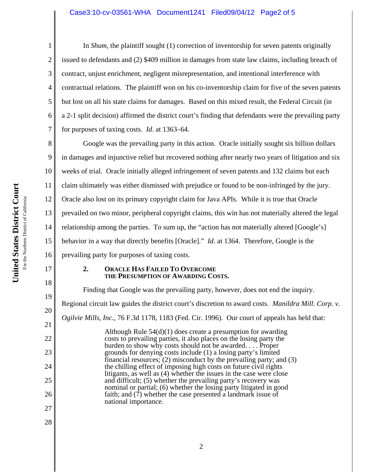## Case3:10-cv-03561-WHA Document1241 Filed09/04/12 Page2 of 5

United States District Court **United States District Court** For the Northern District of California For the Northern District of California

17

18

19

20

21

22

23

24

25

26

27

28

1 2 3 4 5 6 7 In *Shum*, the plaintiff sought (1) correction of inventorship for seven patents originally issued to defendants and (2) \$409 million in damages from state law claims, including breach of contract, unjust enrichment, negligent misrepresentation, and intentional interference with contractual relations. The plaintiff won on his co-inventorship claim for five of the seven patents but lost on all his state claims for damages. Based on this mixed result, the Federal Circuit (in a 2-1 split decision) affirmed the district court's finding that defendants were the prevailing party for purposes of taxing costs. *Id.* at 1363–64.

8 9 10 11 12 13 14 15 16 Google was the prevailing party in this action. Oracle initially sought six billion dollars in damages and injunctive relief but recovered nothing after nearly two years of litigation and six weeks of trial. Oracle initially alleged infringement of seven patents and 132 claims but each claim ultimately was either dismissed with prejudice or found to be non-infringed by the jury. Oracle also lost on its primary copyright claim for Java APIs. While it is true that Oracle prevailed on two minor, peripheral copyright claims, this win has not materially altered the legal relationship among the parties. To sum up, the "action has not materially altered [Google's] behavior in a way that directly benefits [Oracle]." *Id.* at 1364. Therefore, Google is the prevailing party for purposes of taxing costs.

### **2. ORACLE HAS FAILED TO OVERCOME THE PRESUMPTION OF AWARDING COSTS.**

Finding that Google was the prevailing party, however, does not end the inquiry. Regional circuit law guides the district court's discretion to award costs. *Manildra Mill. Corp. v. Ogilvie Mills, Inc.*, 76 F.3d 1178, 1183 (Fed. Cir. 1996). Our court of appeals has held that: Although Rule 54(d)(1) does create a presumption for awarding costs to prevailing parties, it also places on the losing party the burden to show why costs should not be awarded. . . . Proper grounds for denying costs include (1) a losing party's limited financial resources;  $(2)$  misconduct by the prevailing party; and  $(3)$ the chilling effect of imposing high costs on future civil rights litigants, as well as (4) whether the issues in the case were close and difficult; (5) whether the prevailing party's recovery was nominal or partial; (6) whether the losing party litigated in good faith; and  $(7)$  whether the case presented a landmark issue of national importance.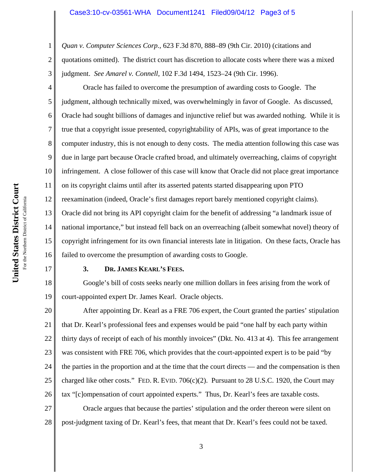### Case3:10-cv-03561-WHA Document1241 Filed09/04/12 Page3 of 5

*Quan v. Computer Sciences Corp.*, 623 F.3d 870, 888–89 (9th Cir. 2010) (citations and

2 3 quotations omitted). The district court has discretion to allocate costs where there was a mixed judgment. *See Amarel v. Connell*, 102 F.3d 1494, 1523–24 (9th Cir. 1996).

Oracle has failed to overcome the presumption of awarding costs to Google. The judgment, although technically mixed, was overwhelmingly in favor of Google. As discussed, Oracle had sought billions of damages and injunctive relief but was awarded nothing. While it is true that a copyright issue presented, copyrightability of APIs, was of great importance to the computer industry, this is not enough to deny costs. The media attention following this case was due in large part because Oracle crafted broad, and ultimately overreaching, claims of copyright infringement. A close follower of this case will know that Oracle did not place great importance on its copyright claims until after its asserted patents started disappearing upon PTO reexamination (indeed, Oracle's first damages report barely mentioned copyright claims). Oracle did not bring its API copyright claim for the benefit of addressing "a landmark issue of national importance," but instead fell back on an overreaching (albeit somewhat novel) theory of copyright infringement for its own financial interests late in litigation. On these facts, Oracle has failed to overcome the presumption of awarding costs to Google.

# 17

1

4

5

6

7

8

9

10

11

12

13

14

15

16

## **3. DR. JAMES KEARL'S FEES.**

18 19 Google's bill of costs seeks nearly one million dollars in fees arising from the work of court-appointed expert Dr. James Kearl. Oracle objects.

20 21 22 23 24 25 26 After appointing Dr. Kearl as a FRE 706 expert, the Court granted the parties' stipulation that Dr. Kearl's professional fees and expenses would be paid "one half by each party within thirty days of receipt of each of his monthly invoices" (Dkt. No. 413 at 4). This fee arrangement was consistent with FRE 706, which provides that the court-appointed expert is to be paid "by the parties in the proportion and at the time that the court directs — and the compensation is then charged like other costs." FED. R. EVID.  $706(c)(2)$ . Pursuant to 28 U.S.C. 1920, the Court may tax "[c]ompensation of court appointed experts." Thus, Dr. Kearl's fees are taxable costs.

27 28 Oracle argues that because the parties' stipulation and the order thereon were silent on post-judgment taxing of Dr. Kearl's fees, that meant that Dr. Kearl's fees could not be taxed.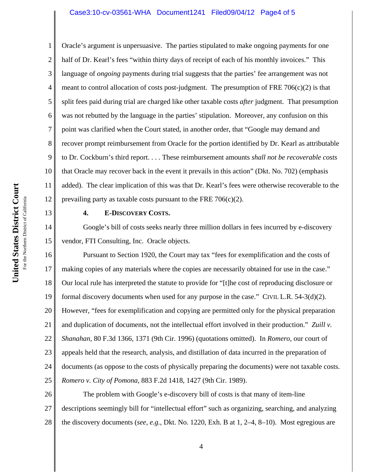#### Case3:10-cv-03561-WHA Document1241 Filed09/04/12 Page4 of 5

10 12 Oracle's argument is unpersuasive. The parties stipulated to make ongoing payments for one half of Dr. Kearl's fees "within thirty days of receipt of each of his monthly invoices." This language of *ongoing* payments during trial suggests that the parties' fee arrangement was not meant to control allocation of costs post-judgment. The presumption of FRE  $706(c)(2)$  is that split fees paid during trial are charged like other taxable costs *after* judgment. That presumption was not rebutted by the language in the parties' stipulation. Moreover, any confusion on this point was clarified when the Court stated, in another order, that "Google may demand and recover prompt reimbursement from Oracle for the portion identified by Dr. Kearl as attributable to Dr. Cockburn's third report. . . . These reimbursement amounts *shall not be recoverable costs* that Oracle may recover back in the event it prevails in this action" (Dkt. No. 702) (emphasis added). The clear implication of this was that Dr. Kearl's fees were otherwise recoverable to the prevailing party as taxable costs pursuant to the FRE  $706(c)(2)$ .

13

14

15

1

2

3

4

5

6

7

8

9

11

### **4. E-DISCOVERY COSTS.**

Google's bill of costs seeks nearly three million dollars in fees incurred by e-discovery vendor, FTI Consulting, Inc. Oracle objects.

16 17 18 19 20 21 22 23 24 25 Pursuant to Section 1920, the Court may tax "fees for exemplification and the costs of making copies of any materials where the copies are necessarily obtained for use in the case." Our local rule has interpreted the statute to provide for "[t]he cost of reproducing disclosure or formal discovery documents when used for any purpose in the case." CIVIL L.R. 54-3(d)(2). However, "fees for exemplification and copying are permitted only for the physical preparation and duplication of documents, not the intellectual effort involved in their production." *Zuill v. Shanahan*, 80 F.3d 1366, 1371 (9th Cir. 1996) (quotations omitted). In *Romero*, our court of appeals held that the research, analysis, and distillation of data incurred in the preparation of documents (as oppose to the costs of physically preparing the documents) were not taxable costs. *Romero v. City of Pomona*, 883 F.2d 1418, 1427 (9th Cir. 1989).

26 27 28 The problem with Google's e-discovery bill of costs is that many of item-line descriptions seemingly bill for "intellectual effort" such as organizing, searching, and analyzing the discovery documents (*see, e.g.,* Dkt. No. 1220, Exh. B at 1, 2–4, 8–10). Most egregious are